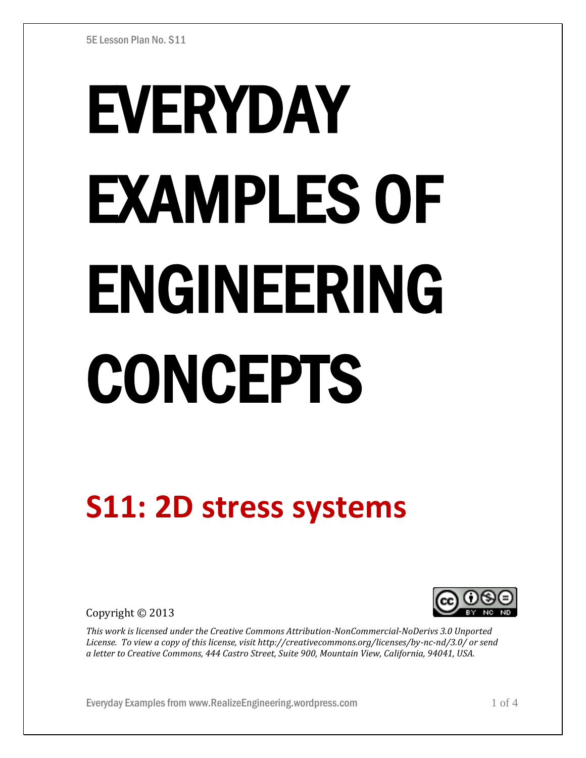# EVERYDAY EXAMPLES OF ENGINEERING CONCEPTS

# **S11: 2D stress systems**

Copyright © 2013



*This work is licensed under the Creative Commons Attribution-NonCommercial-NoDerivs 3.0 Unported License. To view a copy of this license, visit http://creativecommons.org/licenses/by-nc-nd/3.0/ or send a letter to Creative Commons, 444 Castro Street, Suite 900, Mountain View, California, 94041, USA.*

Everyday Examples from www.RealizeEngineering.wordpress.com 1 of 4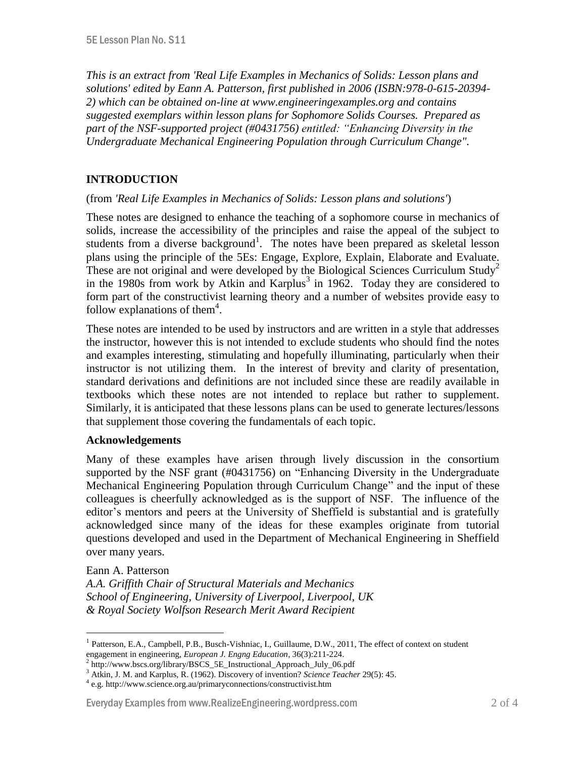*This is an extract from 'Real Life Examples in Mechanics of Solids: Lesson plans and solutions' edited by Eann A. Patterson, first published in 2006 (ISBN:978-0-615-20394- 2) which can be obtained on-line at www.engineeringexamples.org and contains suggested exemplars within lesson plans for Sophomore Solids Courses. Prepared as part of the NSF-supported project (#0431756) entitled: "Enhancing Diversity in the Undergraduate Mechanical Engineering Population through Curriculum Change".* 

# **INTRODUCTION**

#### (from *'Real Life Examples in Mechanics of Solids: Lesson plans and solutions'*)

These notes are designed to enhance the teaching of a sophomore course in mechanics of solids, increase the accessibility of the principles and raise the appeal of the subject to students from a diverse background<sup>1</sup>. The notes have been prepared as skeletal lesson plans using the principle of the 5Es: Engage, Explore, Explain, Elaborate and Evaluate. These are not original and were developed by the Biological Sciences Curriculum Study<sup>2</sup> in the 1980s from work by Atkin and Karplus<sup>3</sup> in 1962. Today they are considered to form part of the constructivist learning theory and a number of websites provide easy to follow explanations of them<sup>4</sup>.

These notes are intended to be used by instructors and are written in a style that addresses the instructor, however this is not intended to exclude students who should find the notes and examples interesting, stimulating and hopefully illuminating, particularly when their instructor is not utilizing them. In the interest of brevity and clarity of presentation, standard derivations and definitions are not included since these are readily available in textbooks which these notes are not intended to replace but rather to supplement. Similarly, it is anticipated that these lessons plans can be used to generate lectures/lessons that supplement those covering the fundamentals of each topic.

#### **Acknowledgements**

Many of these examples have arisen through lively discussion in the consortium supported by the NSF grant (#0431756) on "Enhancing Diversity in the Undergraduate Mechanical Engineering Population through Curriculum Change" and the input of these colleagues is cheerfully acknowledged as is the support of NSF. The influence of the editor's mentors and peers at the University of Sheffield is substantial and is gratefully acknowledged since many of the ideas for these examples originate from tutorial questions developed and used in the Department of Mechanical Engineering in Sheffield over many years.

#### Eann A. Patterson

 $\overline{a}$ 

*A.A. Griffith Chair of Structural Materials and Mechanics School of Engineering, University of Liverpool, Liverpool, UK & Royal Society Wolfson Research Merit Award Recipient*

<sup>&</sup>lt;sup>1</sup> Patterson, E.A., Campbell, P.B., Busch-Vishniac, I., Guillaume, D.W., 2011, The effect of context on student engagement in engineering, *European J. Engng Education*, 36(3):211-224.

<sup>&</sup>lt;sup>2</sup> http://www.bscs.org/library/BSCS\_5E\_Instructional\_Approach\_July\_06.pdf

<sup>3</sup> Atkin, J. M. and Karplus, R. (1962). Discovery of invention? *Science Teacher* 29(5): 45.

<sup>4</sup> e.g. http://www.science.org.au/primaryconnections/constructivist.htm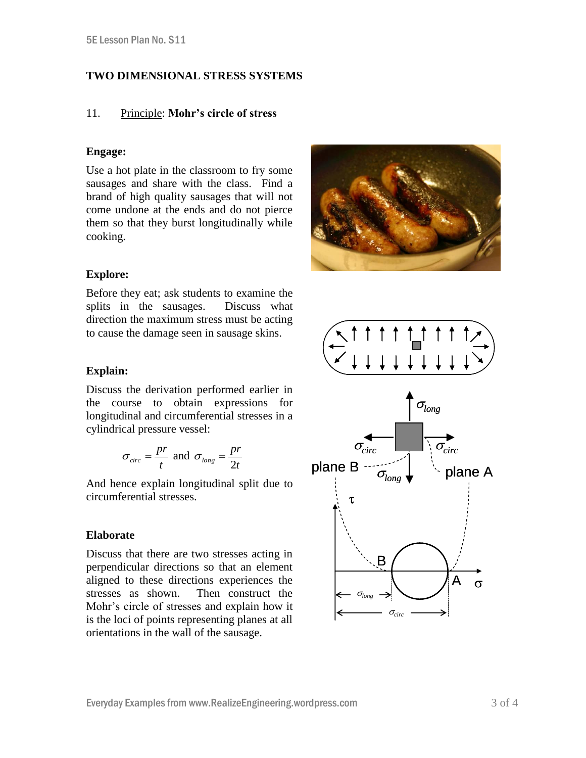### **TWO DIMENSIONAL STRESS SYSTEMS**

#### 11. Principle: **Mohr's circle of stress**

#### **Engage:**

Use a hot plate in the classroom to fry some sausages and share with the class. Find a brand of high quality sausages that will not come undone at the ends and do not pierce them so that they burst longitudinally while cooking.



#### **Explore:**

Before they eat; ask students to examine the splits in the sausages. Discuss what direction the maximum stress must be acting to cause the damage seen in sausage skins.

#### **Explain:**

Discuss the derivation performed earlier in the course to obtain expressions for longitudinal and circumferential stresses in a cylindrical pressure vessel:

$$
\sigma_{circ} = \frac{pr}{t}
$$
 and  $\sigma_{long} = \frac{pr}{2t}$ 

And hence explain longitudinal split due to circumferential stresses.

#### **Elaborate**

Discuss that there are two stresses acting in perpendicular directions so that an element aligned to these directions experiences the stresses as shown. Then construct the Mohr's circle of stresses and explain how it is the loci of points representing planes at all orientations in the wall of the sausage.